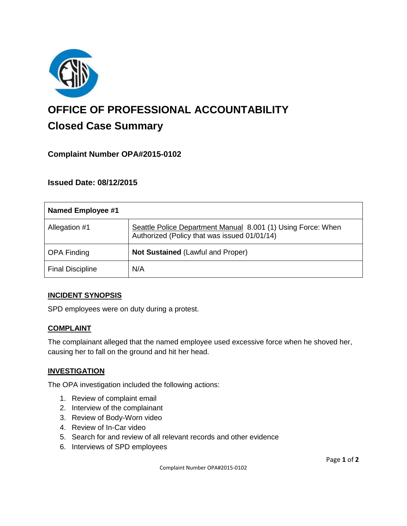

# **OFFICE OF PROFESSIONAL ACCOUNTABILITY Closed Case Summary**

## **Complaint Number OPA#2015-0102**

**Issued Date: 08/12/2015**

| <b>Named Employee #1</b> |                                                                                                              |
|--------------------------|--------------------------------------------------------------------------------------------------------------|
| Allegation #1            | Seattle Police Department Manual 8.001 (1) Using Force: When<br>Authorized (Policy that was issued 01/01/14) |
| <b>OPA Finding</b>       | <b>Not Sustained (Lawful and Proper)</b>                                                                     |
| <b>Final Discipline</b>  | N/A                                                                                                          |

#### **INCIDENT SYNOPSIS**

SPD employees were on duty during a protest.

## **COMPLAINT**

The complainant alleged that the named employee used excessive force when he shoved her, causing her to fall on the ground and hit her head.

#### **INVESTIGATION**

The OPA investigation included the following actions:

- 1. Review of complaint email
- 2. Interview of the complainant
- 3. Review of Body-Worn video
- 4. Review of In-Car video
- 5. Search for and review of all relevant records and other evidence
- 6. Interviews of SPD employees